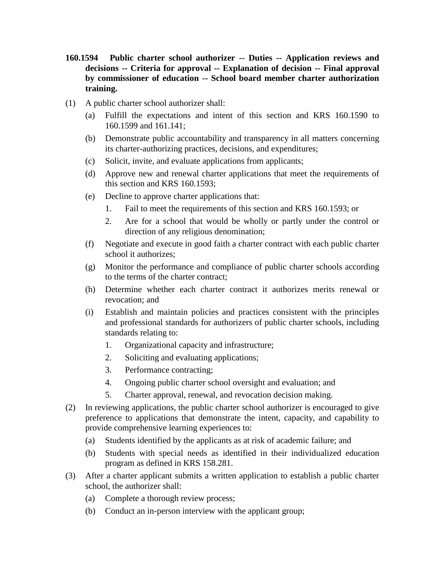- **160.1594 Public charter school authorizer -- Duties -- Application reviews and decisions -- Criteria for approval -- Explanation of decision -- Final approval by commissioner of education -- School board member charter authorization training.**
- (1) A public charter school authorizer shall:
	- (a) Fulfill the expectations and intent of this section and KRS 160.1590 to 160.1599 and 161.141;
	- (b) Demonstrate public accountability and transparency in all matters concerning its charter-authorizing practices, decisions, and expenditures;
	- (c) Solicit, invite, and evaluate applications from applicants;
	- (d) Approve new and renewal charter applications that meet the requirements of this section and KRS 160.1593;
	- (e) Decline to approve charter applications that:
		- 1. Fail to meet the requirements of this section and KRS 160.1593; or
		- 2. Are for a school that would be wholly or partly under the control or direction of any religious denomination;
	- (f) Negotiate and execute in good faith a charter contract with each public charter school it authorizes;
	- (g) Monitor the performance and compliance of public charter schools according to the terms of the charter contract;
	- (h) Determine whether each charter contract it authorizes merits renewal or revocation; and
	- (i) Establish and maintain policies and practices consistent with the principles and professional standards for authorizers of public charter schools, including standards relating to:
		- 1. Organizational capacity and infrastructure;
		- 2. Soliciting and evaluating applications;
		- 3. Performance contracting;
		- 4. Ongoing public charter school oversight and evaluation; and
		- 5. Charter approval, renewal, and revocation decision making.
- (2) In reviewing applications, the public charter school authorizer is encouraged to give preference to applications that demonstrate the intent, capacity, and capability to provide comprehensive learning experiences to:
	- (a) Students identified by the applicants as at risk of academic failure; and
	- (b) Students with special needs as identified in their individualized education program as defined in KRS 158.281.
- (3) After a charter applicant submits a written application to establish a public charter school, the authorizer shall:
	- (a) Complete a thorough review process;
	- (b) Conduct an in-person interview with the applicant group;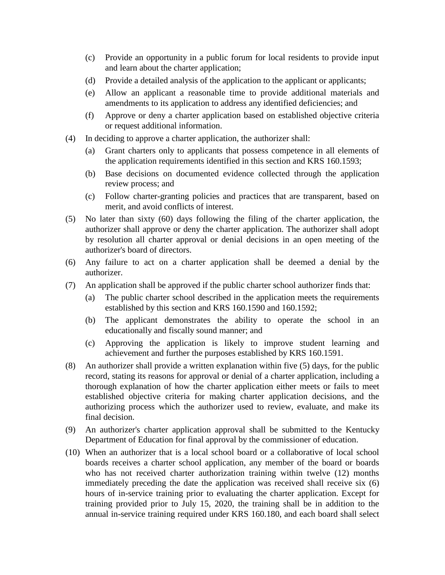- (c) Provide an opportunity in a public forum for local residents to provide input and learn about the charter application;
- (d) Provide a detailed analysis of the application to the applicant or applicants;
- (e) Allow an applicant a reasonable time to provide additional materials and amendments to its application to address any identified deficiencies; and
- (f) Approve or deny a charter application based on established objective criteria or request additional information.
- (4) In deciding to approve a charter application, the authorizer shall:
	- (a) Grant charters only to applicants that possess competence in all elements of the application requirements identified in this section and KRS 160.1593;
	- (b) Base decisions on documented evidence collected through the application review process; and
	- (c) Follow charter-granting policies and practices that are transparent, based on merit, and avoid conflicts of interest.
- (5) No later than sixty (60) days following the filing of the charter application, the authorizer shall approve or deny the charter application. The authorizer shall adopt by resolution all charter approval or denial decisions in an open meeting of the authorizer's board of directors.
- (6) Any failure to act on a charter application shall be deemed a denial by the authorizer.
- (7) An application shall be approved if the public charter school authorizer finds that:
	- (a) The public charter school described in the application meets the requirements established by this section and KRS 160.1590 and 160.1592;
	- (b) The applicant demonstrates the ability to operate the school in an educationally and fiscally sound manner; and
	- (c) Approving the application is likely to improve student learning and achievement and further the purposes established by KRS 160.1591.
- (8) An authorizer shall provide a written explanation within five (5) days, for the public record, stating its reasons for approval or denial of a charter application, including a thorough explanation of how the charter application either meets or fails to meet established objective criteria for making charter application decisions, and the authorizing process which the authorizer used to review, evaluate, and make its final decision.
- (9) An authorizer's charter application approval shall be submitted to the Kentucky Department of Education for final approval by the commissioner of education.
- (10) When an authorizer that is a local school board or a collaborative of local school boards receives a charter school application, any member of the board or boards who has not received charter authorization training within twelve (12) months immediately preceding the date the application was received shall receive six (6) hours of in-service training prior to evaluating the charter application. Except for training provided prior to July 15, 2020, the training shall be in addition to the annual in-service training required under KRS 160.180, and each board shall select